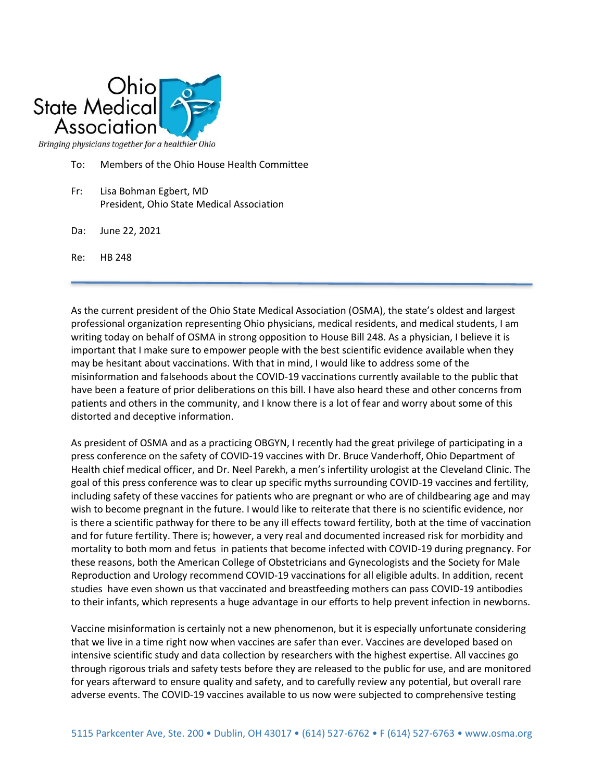

To: Members of the Ohio House Health Committee

- Fr: Lisa Bohman Egbert, MD President, Ohio State Medical Association
- Da: June 22, 2021
- Re: HB 248

As the current president of the Ohio State Medical Association (OSMA), the state's oldest and largest professional organization representing Ohio physicians, medical residents, and medical students, I am writing today on behalf of OSMA in strong opposition to House Bill 248. As a physician, I believe it is important that I make sure to empower people with the best scientific evidence available when they may be hesitant about vaccinations. With that in mind, I would like to address some of the misinformation and falsehoods about the COVID-19 vaccinations currently available to the public that have been a feature of prior deliberations on this bill. I have also heard these and other concerns from patients and others in the community, and I know there is a lot of fear and worry about some of this distorted and deceptive information.

As president of OSMA and as a practicing OBGYN, I recently had the great privilege of participating in a press conference on the safety of COVID-19 vaccines with Dr. Bruce Vanderhoff, Ohio Department of Health chief medical officer, and Dr. Neel Parekh, a men's infertility urologist at the Cleveland Clinic. The goal of this press conference was to clear up specific myths surrounding COVID-19 vaccines and fertility, including safety of these vaccines for patients who are pregnant or who are of childbearing age and may wish to become pregnant in the future. I would like to reiterate that there is no scientific evidence, nor is there a scientific pathway for there to be any ill effects toward fertility, both at the time of vaccination and for future fertility. There is; however, a very real and documented increased risk for morbidity and mortality to both mom and fetus in patients that become infected with COVID-19 during pregnancy. For these reasons, both the American College of Obstetricians and Gynecologists and the Society for Male Reproduction and Urology recommend COVID-19 vaccinations for all eligible adults. In addition, recent studies have even shown us that vaccinated and breastfeeding mothers can pass COVID-19 antibodies to their infants, which represents a huge advantage in our efforts to help prevent infection in newborns.

Vaccine misinformation is certainly not a new phenomenon, but it is especially unfortunate considering that we live in a time right now when vaccines are safer than ever. Vaccines are developed based on intensive scientific study and data collection by researchers with the highest expertise. All vaccines go through rigorous trials and safety tests before they are released to the public for use, and are monitored for years afterward to ensure quality and safety, and to carefully review any potential, but overall rare adverse events. The COVID-19 vaccines available to us now were subjected to comprehensive testing